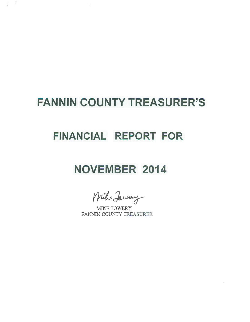# **FANNIN COUNTY TREASURER'S**

 $\lambda$ 

 $\vec{x}$ j.

### **FINANCIAL REPORT FOR**

# **NOVEMBER 2014**

 $I$ / Jaway

MIKE TOWERY FANNIN COUNTY TREASURER

 $\sim$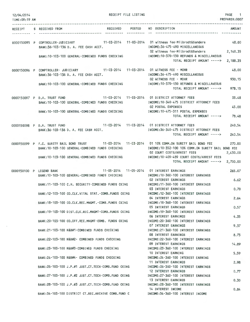| 12/04/2014<br><b>TIME:09:19 AM</b> | <b>RECEIPT FILE LISTING</b>                                                                                                                                                                                                                                                                                                                                                                                                                                                                                                                                                                                                                                                                                                                                              |                                                                                                                                                                                                                                                                                                                                                                                                                                                                                                                                                                                                                                                                                                                                                                                                                                                                                                                   | PAGE 1<br>PREPARER: 0007                                                                                        |
|------------------------------------|--------------------------------------------------------------------------------------------------------------------------------------------------------------------------------------------------------------------------------------------------------------------------------------------------------------------------------------------------------------------------------------------------------------------------------------------------------------------------------------------------------------------------------------------------------------------------------------------------------------------------------------------------------------------------------------------------------------------------------------------------------------------------|-------------------------------------------------------------------------------------------------------------------------------------------------------------------------------------------------------------------------------------------------------------------------------------------------------------------------------------------------------------------------------------------------------------------------------------------------------------------------------------------------------------------------------------------------------------------------------------------------------------------------------------------------------------------------------------------------------------------------------------------------------------------------------------------------------------------------------------------------------------------------------------------------------------------|-----------------------------------------------------------------------------------------------------------------|
| RECEIPT<br>----------              | RECEIVED POSTED<br>S RECEIVED FROM                                                                                                                                                                                                                                                                                                                                                                                                                                                                                                                                                                                                                                                                                                                                       | NO DESCRIPTION                                                                                                                                                                                                                                                                                                                                                                                                                                                                                                                                                                                                                                                                                                                                                                                                                                                                                                    | <b>AMOUNT</b>                                                                                                   |
|                                    | 0000150095 P COPTROLLER-JUDICIARY 11-03-2014 11-03-2014 01 witness fee-Milbrodt&Sanders<br>BANK:36-103-136 D. A. FEE CASH ACCT.<br>BANK: 10-103-100 GENERAL-COMBINED FUNDS CHECKING                                                                                                                                                                                                                                                                                                                                                                                                                                                                                                                                                                                      | INCOME: 36-475-490 MISCELLANEOUS<br>02 witness fee-Milbrodt&Sanders<br>INCOME: 10-370-130 REFUNDS & MISCELLANEOUS<br>TOTAL RECEIPT AMOUNT ----->                                                                                                                                                                                                                                                                                                                                                                                                                                                                                                                                                                                                                                                                                                                                                                  | 48.00<br>2,140.35<br>2,188.35                                                                                   |
|                                    | 0000150096 P COMPTROLLER- JUDICIARY 11-03-2014 11-03-2014 01 WITNESS FEE - MOHR<br>BANK: 36-103-136 D. A. FEE CASH ACCT.<br>BANK:10-103-100 GENERAL-COMBINED FUNDS CHECKING                                                                                                                                                                                                                                                                                                                                                                                                                                                                                                                                                                                              | INCOME: 36-475-490 MISCELLANEOUS<br>02 WITNESS FEE - MOHR<br>INCOME:10-370-130 REFUNDS & MISCELLANEOUS<br>TOTAL RECEIPT AMOUNT ----->                                                                                                                                                                                                                                                                                                                                                                                                                                                                                                                                                                                                                                                                                                                                                                             | 48.00<br>930.15<br>978.15                                                                                       |
|                                    | 0000150097 P D.A. TRUST FUND<br>BANK:10-103-100 GENERAL-COMBINED FUNDS CHECKING<br>BANK: 10-103-100 GENERAL-COMBINED FUNDS CHECKING                                                                                                                                                                                                                                                                                                                                                                                                                                                                                                                                                                                                                                      | INCOME: 10-340-475 DISTRICT ATTORNEY FEES<br><b>02 POSTAL EXPENSES</b><br>INCOME: 10-475-311 POSTAL EXPENSES<br>TOTAL RECEIPT AMOUNT ----->                                                                                                                                                                                                                                                                                                                                                                                                                                                                                                                                                                                                                                                                                                                                                                       | 33.48<br>45,00<br>78.48                                                                                         |
|                                    | 0000150098 P D.A. TRUST FUND 11-03-2014 11-03-2014 01 DISTRICT ATTORNEY FEES<br>BANK:36-103-136 D. A. FEE CASH ACCT.                                                                                                                                                                                                                                                                                                                                                                                                                                                                                                                                                                                                                                                     | INCOME: 36-340-475 DISTRICT ATTORNEY FEES<br>TOTAL RECEIPT AMOUNT ----->                                                                                                                                                                                                                                                                                                                                                                                                                                                                                                                                                                                                                                                                                                                                                                                                                                          | 240.54<br>240.54                                                                                                |
|                                    | 0000150099 P F.C. SURETY BAIL BOND TRUST 11-03-2014 11-03-2014 01 10% COMM.ON SURETY BAIL BOND FEE<br>BANK: 10-103-100 GENERAL-COMBINED FUNDS CHECKING<br>BANK: 10-103-100 GENERAL-COMBINED FUNDS CHECKING                                                                                                                                                                                                                                                                                                                                                                                                                                                                                                                                                               | INCOME:10-352-100 10% COMM.ON SURETY BAIL BOND FEE<br>02 COURT COSTS/ARREST FEES<br>INCOME:10-409-489 COURT COSTS/ARREST FEES<br>TOTAL RECEIPT AMOUNT ----->                                                                                                                                                                                                                                                                                                                                                                                                                                                                                                                                                                                                                                                                                                                                                      | 270,00<br>2,430.00<br>2,700.00                                                                                  |
| 0000150100 P LEGEND BANK           | BANK: 10-103-100 GENERAL-COMBINED FUNDS CHECKING<br>BANK:11-103-100 C.H. SECURITY-COMBINED FUNDS CKING<br>BANK: 12-103-100 CO.CLK.VITAL STAT.-COMB.FUNDS CKING<br>BANK:18-103-100 CO.CLK.REC.MNGMT.-COMB.FUNDS CKING<br>BANK:19-103-100 DIST.CLK.REC.MNGMT-COMB.FUNDS CKING<br>BANK: 20-103-100 CO.OFF.REC.MNGMT-COMB. FUNDS CKING<br>BANK:21-103-100 R&B#1-COMBINED FUNDS CHECKING<br>BANK:22-103-100 R&B#2- COMBINED FUNDS CHECKING<br>BANK: 23-103-100 R&B#3-COMBINED FUNDS CHECKING<br>BANK:24-103-100 R&B#4- COMBINED FUNDS CHECKING<br>BANK:26-103-100 J.P.#1 JUST.CT.TECH-COMB.FUND CKING<br>BANK:27-103-100 J.P.#2 JUST.CT.TECH-COMB.FUND CKING<br>BANK: 28-103-100 J.P.#3 JUST.CT. TECH-COMB. FUND CKING<br>BANK:34-103-100 DISTRICT CT.REC.ARCHIVE COMB.FUND C | INCOME: 10-360-100 INTEREST EARNINGS<br><b>02 INTEREST EARNINGS</b><br>INCOME:11-360-100 INTEREST EARNINGS<br><b>03 INTEREST EARNINGS</b><br>INCOME: 12-360-100 INTEREST EARNINGS<br>04 INTEREST EARNINGS<br>INCOME: 18-360-100 INTEREST EARNINGS<br>05 INTEREST EARNINGS<br>INCOME: 19-360-100 INTEREST EARNINGS<br>06 INTEREST EARNINGS<br>INCOME: 20-360-100 INTEREST EARNINGS<br>07 INTEREST EARNINGS<br>INCOME: 21-360-100 INTEREST EARNINGS<br><b>08 INTEREST EARNINGS</b><br>INCOME: 22-360-100 INTEREST EARNINGS<br>09 INTEREST EARNINGS<br>INCOME: 23-360-100 INTEREST EARNINGS<br>10 INTEREST EARNING<br>INCOME: 24-360-100 INTEREST EARNING<br>11 INTEREST EARNINGS<br>INCOME: 26-360-100 INTEREST EARNINGS<br>12 INTEREST EARNINGS<br>INCOME: 27-360-100 INTEREST EARNINGS<br>13 INTEREST EARNINGS<br>INCOME:28-360-100 INTEREST EARNINGS<br>14 INTEREST INCOME<br>INCOME: 34-360-100 INTEREST INCOME | 265.07<br>6.62<br>0.70<br>2.64<br>0.57<br>4.35<br>9.37<br>8.73<br>14.89<br>5.59<br>2.98<br>0.77<br>0.30<br>0.84 |

 $\epsilon$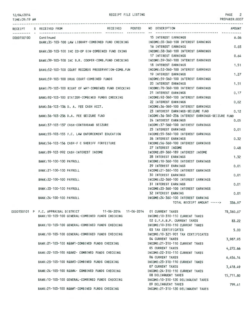#### 12/04/2014

### TIME:09:19 AM

#### RECEIPT FILE LISTING

|            | RECEIPT S RECEIVED FROM                                                     | <b>POSTED</b><br>RECEIVED | NO DESCRIPTION                                                                                               | <b>AMOUNT</b> |
|------------|-----------------------------------------------------------------------------|---------------------------|--------------------------------------------------------------------------------------------------------------|---------------|
| 0000150100 | Continued                                                                   |                           | 15 INTEREST EARNINGS                                                                                         | 6.06          |
|            |                                                                             |                           | BANK:35-103-100 LAW LIBRARY-COMBINED FUND CHECKING MODE:35-360-100 INTEREST EARNINGS<br>16 INTEREST EARNINGS | 0.03          |
|            | BANK:38-103-100 IHC CO-OP GIN-COMBINED FUND CKING                           |                           | INCOME:38-360-100 INTEREST EARNINGS                                                                          |               |
|            |                                                                             |                           | 17 INTEREST EARNINGS                                                                                         | 0.64          |
|            | BANK:39-103-100 IHC B.R. COOPER-COMB.FUND CHECKING                          |                           | INCOME:39-360-100 INTEREST EARNINGS                                                                          |               |
|            |                                                                             |                           | 18 INTEREST EARNINGS                                                                                         | 1,51          |
|            | BANK:52-103-100 COURT RECORDS PRESERVATION-COMB.FUN                         |                           | INCOME:52-360-100 INTEREST EARNINGS<br><b>19 INTEREST EARNINGS</b>                                           | 1,27          |
|            | BANK:59-103-100 DRUG COURT-COMBINED FUNDS                                   |                           | INCOME: 59-360-100 INTEREST EARNINGS                                                                         |               |
|            |                                                                             |                           | <b>20 INTEREST EARNINGS</b>                                                                                  | 1.51          |
|            | BANK: 70-103-100 RIGHT OF WAY-COMBINED FUND CHECKING                        |                           | INCOME: 70-360-100 INTEREST EARNINGS                                                                         |               |
|            |                                                                             |                           | 21 INTEREST EARNINGS                                                                                         | 0.17          |
|            | BANK: 92-103-100 STATZER-COMBINED FUNDS CHECKING                            |                           | INCOME: 92-360-100 INTEREST EARNINGS                                                                         |               |
|            |                                                                             |                           | 22 INTEREST EARNINGS                                                                                         | 0.02          |
|            | BANK: 36-103-136 D. A. FEE CASH ACCT.                                       |                           | INCOME: 36-360-100 INTEREST EARNINGS<br>23 INTEREST EARNINGS-SEIZURE FUND                                    | 0.12          |
|            | BANK: 36-103-236 D.A. FEE SEIZURE FUND                                      |                           | INCOME:36-360-236 INTEREST EARNINGS-SEIZURE FUND                                                             |               |
|            |                                                                             |                           | 24 INTEREST EARNINGS                                                                                         | 0.05          |
|            | BANK: 37-103-137 CASH-CONTRABAND SEIZURE                                    |                           | INCOME: 37-360-100 INTEREST EARNINGS                                                                         |               |
|            |                                                                             |                           | 25 INTEREST EARNINGS                                                                                         | 0.01          |
|            | BANK:55-103-155 F.C. LAW ENFORCEMENT EDUCATION                              |                           | INCOME: 55-360-100 INTEREST EARNINGS                                                                         |               |
|            |                                                                             |                           | <b>26 INTEREST EARNINGS</b>                                                                                  | 0.32          |
|            | BANK:56-103-156 CASH-F C SHERIFF FORFEITURE                                 |                           | INCOME: 56-360-100 INTEREST EARNINGS                                                                         |               |
|            | BANK: 89-103-992 CASH-INTEREST INCOME                                       |                           | 27 INTEREST INCOME<br>INCOME:89-360-189 INTEREST INCOME                                                      | 0.48          |
|            |                                                                             |                           | <b>28 INTEREST EARNINGS</b>                                                                                  | 1.32          |
|            | BANK: 10-100-100 PAYROLL                                                    |                           | INCOME: 10-360-100 INTEREST EARNINGS                                                                         |               |
|            |                                                                             |                           | 29 INTEREST EARNINGS                                                                                         | 0.01          |
|            | BANK: 21-100-100 PAYROLL                                                    |                           | INCOME: 21-360-100 INTEREST EARNINGS                                                                         |               |
|            |                                                                             |                           | <b>30 INTEREST EARNINGS</b>                                                                                  | 0.01          |
|            | BANK: 22-100-100 PAYROLL                                                    |                           | INCOME: 22-360-100 INTEREST EARNINGS                                                                         |               |
|            |                                                                             |                           | 31 INTEREST EARNINGS                                                                                         | 0.01          |
|            | BANK: 23-100-100 PAYROLL                                                    |                           | INCOME: 23-360-100 INTEREST EARNINGS                                                                         |               |
|            | BANK: 24-100-100 PAYROLL                                                    |                           | 32 INTEREST EARNING<br>INCOME: 24-360-100 INTEREST EARNING                                                   | 0.01          |
|            |                                                                             |                           | TOTAL RECEIPT AMOUNT -----> 336.97                                                                           |               |
|            |                                                                             |                           |                                                                                                              |               |
|            | 0000150101 P F.C. APPRAISAL DISTRICT 11-06-2014 11-06-2014 01 CURRENT TAXES |                           |                                                                                                              | 78,380.07     |
|            | BANK: 10-103-100 GENERAL-COMBINED FUNDS CHECKING                            |                           | INCOME: 10-310-110 CURRENT TAXES<br>02 G.F.A.B.P. CURRENT TAXES                                              |               |
|            | AND IS IST ISS SEVERAL SOURING FURN SUPPLYING.                              |                           |                                                                                                              | 83.22         |

|                                                  | 02 G.F.A.B.P. CURRENT TAXES         | 83.22     |
|--------------------------------------------------|-------------------------------------|-----------|
| BANK: 10-103-100 GENERAL-COMBINED FUNDS CHECKING | INCOME: 10-310-110 CURRENT TAXES    |           |
|                                                  | 03 TAX CERTIFICATES                 | 5.00      |
| BANK: 10-103-100 GENERAL-COMBINED FUNDS CHECKING | INCOME: 10-321-901 TAX CERTIFICATES |           |
|                                                  | 04 CURRENT TAXES                    | 3,987.93  |
| BANK: 21-103-100 R&B#1-COMBINED FUNDS CHECKING   | INCOME:21-310-110 CURRENT TAXES     |           |
|                                                  | <b>05 CURRENT TAXES</b>             | 4,272.66  |
| BANK: 22-103-100 R&B#2- COMBINED FUNDS CHECKING  | INCOME: 22-310-110 CURRENT TAXES    |           |
|                                                  | 06 CURRENT TAXES                    | 6,456.14  |
| BANK: 23-103-100 R&B#3-COMBINED FUNDS CHECKING   | INCOME: 23-310-110 CURRENT TAXES    |           |
|                                                  | <b>07 CURRENT TAXES</b>             | 3,418.49  |
| BANK: 24-103-100 R&B#4- COMBINED FUNDS CHECKING  | INCOME: 24-310-110 CURRENT TAXES    |           |
|                                                  | <b>08 DELINQUENT TAXES</b>          | 15,711.80 |
| BANK: 10-103-100 GENERAL-COMBINED FUNDS CHECKING | INCOME: 10-310-120 DELINQUENT TAXES |           |
|                                                  | 09 DELINQUENT TAXES                 | 799.41    |
| BANK:21-103-100 R&B#1-COMBINED FUNDS CHECKING    | INCOME:21-310-120 DELINQUENT TAXES  |           |
|                                                  |                                     |           |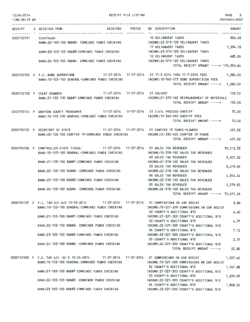| 12/04/2014<br>TIME: 09:19 AM |                                                                                                                                                 | RECEIPT FILE LISTING | 3<br>PAGE<br>PREPARER: 000<br>--------------------------------------                                   |
|------------------------------|-------------------------------------------------------------------------------------------------------------------------------------------------|----------------------|--------------------------------------------------------------------------------------------------------|
|                              | RECEIPT S RECEIVED FROM                                                                                                                         |                      | RECEIVED POSTED NO DESCRIPTION<br><b>AMOUNT</b>                                                        |
|                              | -----------                                                                                                                                     | -----------          | -----------                                                                                            |
| 0000150101                   | Continued<br>BANK:22-103-100 R&B#2- COMBINED FUNDS CHECKING                                                                                     |                      | 10 DELINQUENT TAXES<br>856.48<br>INCOME:22-310-120 DELINQUENT TAXES<br>11 DELINQUENT TAXES<br>1,294.18 |
|                              | BANK:23-103-100 R&B#3-COMBINED FUNDS CHECKING                                                                                                   |                      | INCOME:23-310-120 DELINQUENT TAXES                                                                     |
|                              | BANK:24-103-100 R&B#4- COMBINED FUNDS CHECKING                                                                                                  |                      | 12 DELINQUENT TAXES<br>685.26<br>INCOME:24-310-120 DELINQUENT TAXES                                    |
|                              |                                                                                                                                                 |                      | TOTAL RECEIPT AMOUNT -----> 115,950.64                                                                 |
|                              | 0000150102 P F.C. BOND SUPERVISOR<br>BANK: 10-103-100 GENERAL-COMBINED FUNDS CHECKING                                                           |                      | 1,080.00<br>INCOME:10-340-573 BOND SUPERVISION FEES                                                    |
|                              |                                                                                                                                                 |                      | TOTAL RECEIPT AMOUNT -----><br>1,080.00                                                                |
|                              | 11-07-2014 11-07-2014 01 CULVERT<br>0000150103 P COLBY EDWARDS                                                                                  |                      | 159.50                                                                                                 |
|                              | BANK:21-103-100 R&B#1-COMBINED FUNDS CHECKING                                                                                                   |                      | INCOME:21-370-145 REIMBURSEMENT OF MATERIALS<br>TOTAL RECEIPT AMOUNT -----><br>159.50                  |
|                              | 0000150104 P GRAYSON COUNTY TREASURER 11-07-2014 11-07-2014 01 CIVIL PROCESS-SHERIFF                                                            |                      | 70.00                                                                                                  |
|                              | BANK: 10-103-100 GENERAL-COMBINED FUNDS CHECKING                                                                                                |                      | INCOME:10-340-560 SHERIFF FEES<br>TOTAL RECEIPT AMOUNT -----><br>70,00                                 |
|                              | 0000150105 P SECRETARY OF STATE 11-07-2014 11-07-2014 01 CHAPTER 19 FUNDS-FLOWERS                                                               |                      | 431,92                                                                                                 |
|                              | BANK:45-103-100 CHAPTER 19-COMBINED FUNDS CHECKING                                                                                              |                      | INCOME:45-330-403 CHAPTER 19 FUNDS<br>TOTAL RECEIPT AMOUNT -----><br>431.92                            |
|                              | 0000150106 P COMPTROLLER-STATE FISCAL                                                                                                           |                      | 59,016.33<br>INCOME: 10-318-160 SALES TAX REVENUES                                                     |
|                              | BANK: 10-103-100 GENERAL-COMBINED FUNDS CHECKING                                                                                                |                      | <b>02 SALES TAX REVENUES</b><br>3,001.32                                                               |
|                              | BANK:21-103-100 R&B#1-COMBINED FUNDS CHECKING                                                                                                   |                      | INCOME: 21-318-160 SALES TAX REVENUES<br>03 SALES TAX REVENUES<br>3,219.34                             |
|                              | BANK: 22-103-100 R&B#2- COMBINED FUNDS CHECKING                                                                                                 |                      | INCOME: 22-318-160 SALES TAX REVENUES<br><b>04 SALES TAX REVENUES</b><br>4,854.44                      |
|                              | BANK: 23-103-100 R&B#3-COMBINED FUNDS CHECKING                                                                                                  |                      | INCOME: 23-318-160 SALES TAX REVENUES<br><b>05 SALES TAX REVENUES</b><br>2,579.83                      |
|                              | BANK:24-103-100 R&B#4- COMBINED FUNDS CHECKING                                                                                                  |                      | INCOME: 24-318-160 SALES TAX REVENUES                                                                  |
|                              |                                                                                                                                                 |                      | TOTAL RECEIPT AMOUNT -----> 72,671.26                                                                  |
|                              | 0000150107 P F.C. TAX A/C W/E 10-10-2014 11-07-2014 11-07-2014 01 COMMISSIONS ON CAR REGIST<br>BANK: 10-103-100 GENERAL-COMBINED FUNDS CHECKING |                      | 3.80<br>INCOME: 10-321-200 COMMISSIONS ON CAR REGIST                                                   |
|                              | BANK:21-103-100 R&B#1-COMBINED FUNDS CHECKING                                                                                                   |                      | 02 COUNTY'S ADDITIONAL \$10<br>4.40<br>INCOME:21-321-300 COUNTY'S ADDITIONAL \$10                      |
|                              |                                                                                                                                                 |                      | 03 COUNTY'S ADDITIONAL \$10<br>4.71                                                                    |
|                              | BANK:22-103-100 R&B#2- COMBINED FUNDS CHECKING                                                                                                  |                      | INCOME:22-321-300 COUNTY'S ADDITIONAL \$10<br>04 COUNTY'S ADDITIONAL \$10<br>7.12                      |
|                              | BANK:23-103-100 R&B#3-COMBINED FUNDS CHECKING                                                                                                   |                      | INCOME: 23-321-300 COUNTY'S ADDITIONAL \$10<br>05 COUNTY'S ADDITIONAL \$10<br>3.77                     |
|                              | BANK:24-103-100 R&B#4- COMBINED FUNDS CHECKING                                                                                                  |                      | INCOME:24-321-300 COUNTY'S ADDITIONAL \$10<br>TOTAL RECEIPT AMOUNT -----><br>23.80                     |
|                              | 0000150108 P F.C. TAX A/C -W/ E 10-24-2014 11-07-2014 11-07-2014 01 COMMISSIONS ON CAR REGIST                                                   |                      | 1,597.60                                                                                               |
|                              | BANK: 10-103-100 GENERAL-COMBINED FUNDS CHECKING                                                                                                |                      | INCOME: 10-321-200 COMMISSIONS ON CAR REGIST<br>02 COUNTY'S ADDITIONAL \$10<br>1,147.88                |
|                              | BANK:21-103-100 R&B#1-COMBINED FUNDS CHECKING                                                                                                   |                      | INCOME:21-321-300 COUNTY'S ADDITIONAL \$10<br>03 COUNTY'S ADDITIONAL \$10<br>1,229.83                  |
|                              |                                                                                                                                                 |                      |                                                                                                        |

INCOME:22-321-300 COUNTY'S ADDITIONAL \$10

INCOME:23-321-300 COUNTY'S ADDITIONAL \$1D

04 COUNTY'S ADDITIONAL \$10 1,858.32

BANK:22-103-1DO R&B#2- COMBINED FUNDS CHECKING

 $\bar{ }$ 

BANK:23-103-100 R&B#3-COMBINED FUNDS CHECKING

PT<sub>1</sub>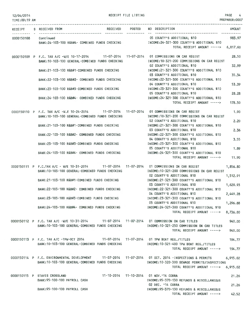RECEIPT FILE LISTING PAGE 4

| TIME:09:19 AM        |                                                                                                                                                  | PREPARER: 0007                                                                                                              |
|----------------------|--------------------------------------------------------------------------------------------------------------------------------------------------|-----------------------------------------------------------------------------------------------------------------------------|
|                      | RECEIPT S RECEIVED FROM                                                                                                                          | RECEIVED POSTED NO DESCRIPTION<br>AMOUNT                                                                                    |
| 0000150108 Continued | BANK:24-103-100 R&B#4- COMBINED FUNDS CHECKING THE THOME:24-321-300 COUNTY'S ADDITIONAL \$10                                                     | 05 COUNTY'S ADDITIONAL \$10<br>983.97<br>TOTAL RECEIPT AMOUNT -----> 6,817.60                                               |
|                      | 0000150109 P F.C. TAX A/C -W/E 10-17-2014 11-07-2014 11-07-2014 01 COMMISSIONS ON CAR REGIST<br>BANK: 10-103-100 GENERAL-COMBINED FUNDS CHECKING | 28.50<br>INCOME: 10-321-200 COMMISSIONS ON CAR REGIST                                                                       |
|                      | BANK:21-103-100 R&B#1-COMBINED FUNDS CHECKING                                                                                                    | 02 COUNTY'S ADDITIONAL \$10<br>32.99<br>INCOME: 21-321-300 COUNTY'S ADDITIONAL \$10                                         |
|                      | BANK:22-103-100 R&B#2- COMBINED FUNDS CHECKING                                                                                                   | 03 COUNTY'S ADDITIONAL \$10<br>35.34<br>INCOME:22-321-300 COUNTY'S ADDITIONAL \$10                                          |
|                      | BANK:23-103-100 R&B#3-COMBINED FUNDS CHECKING                                                                                                    | 04 COUNTY'S ADDITIONAL \$10<br>53,39<br>INCOME: 23-321-300 COUNTY'S ADDITIONAL \$10<br>05 COUNTY'S ADDITIONAL \$10<br>28.28 |
|                      | BANK:24-103-100 R&B#4- COMBINED FUNDS CHECKING                                                                                                   | INCOME:24-321-300 COUNTY'S ADDITIONAL \$10<br>TOTAL RECEIPT AMOUNT -----><br>178.50                                         |
|                      | 0000150110 P F.C. TAX A/C -W.E 10-24-2014 11-07-2014 11-07-2014 01 COMMISSIONS ON CAR REGIST<br>BANK: 10-103-100 GENERAL-COMBINED FUNDS CHECKING | 1.90<br>INCOME: 10-321-200 COMMISSIONS ON CAR REGIST                                                                        |
|                      | BANK: 21-103-100 R&B#1-COMBINED FUNDS CHECKING                                                                                                   | 02 COUNTY'S ADDITIONAL \$10<br>2.20<br>INCOME: 21-321-300 COUNTY'S ADDITIONAL \$10                                          |
|                      | BANK:22-103-100 R&B#2- COMBINED FUNDS CHECKING                                                                                                   | 03 COUNTY'S ADDITIONAL \$10<br>2.36<br>INCOME: 22-321-300 COUNTY'S ADDITIONAL \$10                                          |
|                      | BANK:23-103-100 R&B#3-COMBINED FUNDS CHECKING                                                                                                    | 04 COUNTY'S ADDITIONAL \$10<br>3.55<br>INCOME:23-321-300 COUNTY'S ADDITIONAL \$10                                           |
|                      | BANK:24-103-100 R&B#4- COMBINED FUNDS CHECKING                                                                                                   | 05 COUNTY'S ADDITIONAL \$10<br>1.89<br>INCOME: 24-321-300 COUNTY'S ADDITIONAL \$10                                          |
|                      | 0000150111 P F.C.TAX A/C - W/E 10-31-2014 11-07-2014 11-07-2014 01 COMMISSIONS ON CAR REGIST                                                     | TOTAL RECEIPT AMOUNT -----><br>11.90<br>1,856.80                                                                            |
|                      | BANK: 10-103-100 GENERAL-COMBINED FUNDS CHECKING                                                                                                 | INCOME:10-321-200 COMMISSIONS ON CAR REGIST<br>02 COUNTY'S ADDITIONAL \$10<br>1,512.91                                      |
|                      | BANK:21-103-100 R&B#1-COMBINED FUNDS CHECKING                                                                                                    | INCOME:21-321-300 COUNTY'S ADDITIONAL \$10<br>03 COUNTY'S ADDITIONAL \$10<br>1,620.93                                       |
|                      | BANK:22-103-100 R&B#2- COMBINED FUNDS CHECKING                                                                                                   | INCOME:22-321-300 COUNTY'S ADDITIONAL \$10<br>04 COUNTY'S ADDITIONAL \$10<br>2,449.28                                       |
|                      | BANK: 23-103-100 R&B#3-COMBINED FUNDS CHECKING                                                                                                   | INCOME:23-321-300 COUNTY'S ADDITIONAL \$10<br>05 COUNTY'S ADDITIONAL \$10<br>1,296.88                                       |
|                      | BANK:24-103-100 R&B#4- COMBINED FUNDS CHECKING                                                                                                   | INCOME: 24-321-300 COUNTY'S ADDITIONAL \$10<br>TOTAL RECEIPT AMOUNT -----><br>8,736.80                                      |
|                      | 0000150112 P F.C. TAX A/C -W/E 10-31-2014 11-07-2014 11-07-2014 01 COMMISSION ON CAR TITLES<br>BANK:10-103-100 GENERAL-COMBINED FUNDS CHECKING   | 940.00<br>INCOME:10-321-250 COMMISSION ON CAR TITLES                                                                        |
|                      |                                                                                                                                                  | TOTAL RECEIPT AMOUNT -----><br>940.00                                                                                       |
|                      | 0000150113 P F.C. TAX A/C -TPW-OCT 2014 11-07-2014 11-07-2014 01 TPW BOAT REG./TITLES<br>BANK: 10-103-100 GENERAL-COMBINED FUNDS CHECKING        | 194.77<br>INCOME:10-321-400 TPW BOAT REG./TITLES<br>194.77<br>TOTAL RECEIPT AMOUNT ----->                                   |
|                      | 0000150114 P F.C. ENVIRONMENTAL DEVELOPMENT 11-07-2014 11-07-2014 01 OCT. 2014 -INSPECTIONS & PERMITS                                            | 6,915.02                                                                                                                    |
|                      | BANK: 10-103-100 GENERAL-COMBINED FUNDS CHECKING                                                                                                 | INCOME:10-320-300 SEWAGE PERMITS/INSPECTIONS<br>TOTAL RECEIPT AMOUNT -----> 6,915.02                                        |
|                      | 0000150115 P STAVIS CROSSLAND                                                                                                                    | 21.26                                                                                                                       |
|                      | BANK: 95-100-100 PAYROLL CASH<br>BANK:95-100-100 PAYROLL CASH                                                                                    | INCOME: 95-370-130 REFUNDS & MISCELLANEOUS<br>02 DEC. '14 COBRA<br>21.26<br>INCOME: 95-370-130 REFUNDS & MISCELLANEOUS      |
|                      |                                                                                                                                                  | TOTAL RECEIPT AMOUNT -----><br>42.52                                                                                        |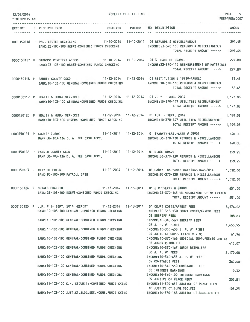| 12/04/2014<br>TIME: 09:19 AM | RECEIPT FILE LISTING                                                                                                                                                                                                      | <b>PAGE</b><br>5.<br>PREPARER: 0007 |
|------------------------------|---------------------------------------------------------------------------------------------------------------------------------------------------------------------------------------------------------------------------|-------------------------------------|
|                              | RECEIVED POSTED NO DESCRIPTION<br>RECEIPT S RECEIVED FROM                                                                                                                                                                 | <b>AMOUNT</b>                       |
|                              | 0000150116 P PAUL LESTER RECYCLING 11-10-2014 11-10-2014 01 REFUNDS & MISCELLANEOUS<br>BANK:23-103-100 R&B#3-COMBINED FUNDS CHECKING<br>INCOME: 23-370-130 REFUNDS & MISCELLANEOUS<br>TOTAL RECEIPT AMOUNT ----->         | 291.45<br>291.45                    |
|                              | 0000150117 P OAKWOOD CEMETERY ASSOC. 11-10-2014 11-10-2014 01 3 LOADS OF GRAVEL<br>INCOME:23-370-145 REIMBURSEMENT OF MATERIALS<br>BANK: 23-103-100 R&B#3-COMBINED FUNDS CHECKING<br>TOTAL RECEIPT AMOUNT ----->          | 277.80<br>277.80                    |
|                              | 11-12-2014  11-12-2014  01 RESTITUTION # 19729-ARNOLD<br>0000150118 P FANNIN COUNTY CSCD<br>INCOME: 10-370-130 REFUNDS & MISCELLANEOUS<br>BANK: 10-103-100 GENERAL-COMBINED FUNDS CHECKING<br>TOTAL RECEIPT AMOUNT -----> | 32.45<br>32.45                      |
|                              | 0000150119 P HEALTH & HUMAN SERVICES   11-12-2014 11-12-2014 01 JULY - AUG. 2014<br>BANK: 10-103-100 GENERAL-COMBINED FUNDS CHECKING<br>INCOME: 10-370-147 UTILITIES REIMBURSEMENT<br>TOTAL RECEIPT AMOUNT ----->         | 1,177.88<br>1,177,88                |
|                              | 0000150120 P HEALTH & HUMAN SERVICES   11-12-2014 11-12-2014 01 AUG. - SEPT. 2014<br>BANK: 10-103-100 GENERAL-COMBINED FUNDS CHECKING<br>INCOME:10-370-147 UTILITIES REIMBURSEMENT<br>TOTAL RECEIPT AMOUNT ----->         | 1,199.08<br>1,199,08                |
| 0000150121 P COUNTY CLERK    | 11-12-2014  11-12-2014  01 SHARKEY-LAB.-CASE # 45902<br>BANK:36-103-136 D. A. FEE CASH ACCT.<br>INCOME: 36-370-130 REFUNDS & MISCELLANEOUS<br>TOTAL RECEIPT AMOUNT ----->                                                 | 140.00<br>140.00                    |
|                              | 11-12-2014  11-12-2014  01 BLOOD DRAWS<br>0000150122 P FANNIN COUNTY CSCD<br>BANK:36-103-136 D. A. FEE CASH ACCT.<br>INCOME: 36-370-130 REFUNDS & MISCELLANEOUS<br>TOTAL RECEIPT AMOUNT ----->                            | 159.75<br>159.75                    |
| 0000150123 P CITY OF ECTOR   | 11-12-2014 11-12-2014 01 Cobra Insurance-Garrison-Nov.2014<br>BANK: 95-100-100 PAYROLL CASH<br>INCOME: 95-370-130 REFUNDS & MISCELLANEOUS<br>TOTAL RECEIPT AMOUNT ----->                                                  | 1,012.60<br>1,012.60                |
| 0000150124 P GERALD CHAFFIN  | 11-13-2014  11-13-2014  01 2 CULVERTS & BANDS<br>BANK: 23-103-100 R&B#3-COMBINED FUNDS CHECKING<br>INCOME:23-370-145 REIMBURSEMENT OF MATERIALS<br>TOTAL RECEIPT AMOUNT ----->                                            | 651.00<br>651.00                    |
|                              | 0000150125 P J.P. # 1- SEPT. 2014 -REPORT 11-13-2014 11-13-2014 01 COURT COSTS/ARREST FEES<br>BANK: 10-103-100 GENERAL-COMBINED FUNDS CHECKING<br>INCOME: 10-318-130 COURT COSTS/ARREST FEES                              | 8,574.02                            |
|                              | <b>02 SHERIFF FEES</b><br>BANK: 10-103-100 GENERAL-COMBINED FUNDS CHECKING<br>INCOME: 10-340-560 SHERIFF FEES                                                                                                             | 188.83                              |
|                              | 03 J. P. #1 FINES<br>BANK: 10-103-100 GENERAL-COMBINED FUNDS CHECKING<br>INCOME: 10-350-455 J. P. #1 FINES<br>04 JUDICIAL SUPP.FEE(60 CENTS)                                                                              | 1,655.95<br>61.96                   |
|                              | BANK: 10-103-100 GENERAL-COMBINED FUNDS CHECKING<br>INCOME:10-370-166 JUDICIAL SUPP.FEE(60 CENTS)<br>05 JUROR REIMB.FEE                                                                                                   | 413.07                              |
|                              | BANK: 10-103-100 GENERAL-COMBINED FUNDS CHECKING<br>INCOME: 10-370-167 JUROR REIMB.FEE<br>06 J. P. #1 FEES                                                                                                                | 2,170.08                            |
|                              | BANK: 10-103-100 GENERAL-COMBINED FUNDS CHECKING<br>INCOME:10-340-455 J. P. #1 FEES<br><b>07 CONSTABLE FEES</b>                                                                                                           | 360.00                              |
|                              | BANK: 10-103-100 GENERAL-COMBINED FUNDS CHECKING<br>INCOME: 10-340-550 CONSTABLE FEES<br><b>08 INTEREST EARNINGS</b><br>BANK:10-103-100 GENERAL-COMBINED FUNDS CHECKING<br>INCOME: 10-360-100 INTEREST EARNINGS           | 0.32                                |
|                              | 09 JUSTICE OF PEACE FEES<br>BANK:11-103-100 C.H. SECURITY-COMBINED FUNDS CKING<br>INCOME: 11-340-651 JUSTICE OF PEACE FEES                                                                                                | 309.81                              |
|                              | 10 JUSTICE CT.BLDG.SEC.FEE<br>BANK: 14-103-100 JUST.CT.BLDG.SEC.-COMB.FUNDS CKING<br>INCOME: 14-370-168 JUSTICE CT.BLDG.SEC.FEE                                                                                           | 103.25                              |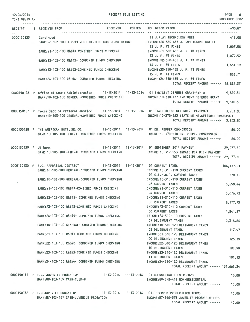| 12/04/2014           |  |
|----------------------|--|
| <b>TIME:09:19 AM</b> |  |

RECEIPT FILE LISTING

PAGE 6 PREPARER:0007

|                      | RECEIPT S RECEIVED FROM                                                                                                                              |  | RECEIVED POSTED NO DESCRIPTION<br>--------------------------------------                      | AMOUNT               |
|----------------------|------------------------------------------------------------------------------------------------------------------------------------------------------|--|-----------------------------------------------------------------------------------------------|----------------------|
|                      | 0000150125 Continued<br>BANK:26-103-100 J.P.#1 JUST.CT.TECH-COMB.FUND CKING                                                                          |  | 11 J.P.#1 TECHNOLOGY FEES<br>INCOME:26-370-455 J.P.#1 TECHNOLOGY FEES                         | 413.08               |
|                      | BANK:21-103-100 R&B#1-COMBINED FUNDS CHECKING                                                                                                        |  | 12 J. P. $\#$ 1 FINES<br>INCOME:21-350-455 J. P. #1 FINES                                     | 1,007.58             |
|                      | BANK:22-103-100 R&B#2- COMBINED FUNDS CHECKING                                                                                                       |  | 13 J. P. #1 FINES<br>INCOME:22-350-455 J. P. #1 FINES                                         | 1,079.52             |
|                      | BANK:23-103-100 R&B#3-COMBINED FUNDS CHECKING                                                                                                        |  | $14$ J. P. $#1$ FINES<br>INCOME:23-350-455 J. P. #1 FINES                                     | 1,631.19             |
|                      | BANK:24-103-100 R&B#4- COMBINED FUNDS CHECKING                                                                                                       |  | 15 J. P. $\#1$ FINES<br>INCOME: 24-350-455 J. P. #1 FINES                                     | 863.71               |
|                      |                                                                                                                                                      |  | TOTAL RECEIPT AMOUNT -----> 18,832.37                                                         |                      |
|                      | 0000150126 P Office of Court Administration 11-13-2014 11-13-2014 01 INDIGENT DEFENSE GRANT-4th Q<br>BANK:10-103-100 GENERAL-COMBINED FUNDS CHECKING |  | INCOME: 10-330-437 INDIGENT DEFENSE GRANT<br>TOTAL RECEIPT AMOUNT ----->                      | 9,810.50<br>9,810.50 |
|                      | 0000150127 P Texas Dept of Criminal Justice 11-13-2014 11-13-2014 01 STATE REIMB.OFFENDER TRANSPORT                                                  |  |                                                                                               | 3,253.85             |
|                      | BANK: 10-103-100 GENERAL-COMBINED FUNDS CHECKING                                                                                                     |  | INCOME:10-370-562 STATE REIMB.OFFENDER TRANSPORT<br>TOTAL RECEIPT AMOUNT -----> 3,253.85      |                      |
|                      | 0000150128 P THE AMERICAN BOTTLING CO. 11-13-2014 11-13-2014 01 DR. PEPPER COMMISSION<br>BANK: 10-103-100 GENERAL-COMBINED FUNDS CHECKING            |  | INCOME:10-370-510 DR. PEPPER COMMISSION                                                       | 60,00                |
|                      |                                                                                                                                                      |  | TOTAL RECEIPT AMOUNT ----->                                                                   | 60.00                |
| 0000150129 P US bank | BANK: 10-103-100 GENERAL-COMBINED FUNDS CHECKING                                                                                                     |  | 11-13-2014 11-13-2014 01 SEPTEMBER 2014 PAYMENT<br>INCOME: 10-319-553 INMATE PER DIEM PAYMENT | 29,077.50            |
|                      |                                                                                                                                                      |  | TOTAL RECEIPT AMOUNT -----> 29,077.50                                                         |                      |
|                      | 0000150130 P F.C. APPRAISAL DISTRICT 11-13-2014 11-13-2014 01 CURRENT TAXES<br>BANK: 10-103-100 GENERAL-COMBINED FUNDS CHECKING                      |  | INCOME: 10-310-110 CURRENT TAXES                                                              | 104, 137.21          |
|                      | BANK: 10-103-100 GENERAL-COMBINED FUNDS CHECKING                                                                                                     |  | 02 G.F.A.B.P. CURRENT TAXES<br>INCOME: 10-310-110 CURRENT TAXES                               | 578.12               |
|                      | BANK: 21-103-100 R&B#1-COMBINED FUNDS CHECKING                                                                                                       |  | 03 CURRENT TAXES<br>INCOME: 21-310-110 CURRENT TAXES                                          | 5,298.44             |
|                      | BANK:22-103-100 R&B#2- COMBINED FUNDS CHECKING                                                                                                       |  | <b>04 CURRENT TAXES</b><br>INCOME: 22-310-110 CURRENT TAXES                                   | 5,676.73             |
|                      | BANK:23-103-100 R&B#3-COMBINED FUNDS CHECKING                                                                                                        |  | 05 CURRENT TAXES<br>INCOME: 23-310-110 CURRENT TAXES                                          | 8,577.75             |
|                      | BANK:24-103-100 R&B#4- COMBINED FUNDS CHECKING                                                                                                       |  | 06 CURRENT TAXES<br>INCOME: 24-310-110 CURRENT TAXES                                          | 4,541.87             |
|                      | BANK: 10-103-100 GENERAL-COMBINED FUNDS CHECKING                                                                                                     |  | 07 DELINQUENT TAXES<br>INCOME: 10-310-120 DELINQUENT TAXES                                    | 2,318.64             |
|                      | BANK:21-103-100 R&B#1-COMBINED FUNDS CHECKING                                                                                                        |  | 08 DELINQUENT TAXES<br>INCOME:21-310-120 DELINQUENT TAXES                                     | 117.97               |
|                      | BANK: 22-103-100 R&B#2- COMBINED FUNDS CHECKING                                                                                                      |  | 09 DELINQUENT TAXES<br>INCOME: 22-310-120 DELINQUENT TAXES                                    | 126.39               |
|                      | BANK:23-103-100 R&B#3-COMBINED FUNDS CHECKING                                                                                                        |  | 10 DELINQUENT TAXES<br>INCOME: 23-310-120 DELINQUENT TAXES                                    | 190.99               |
|                      | BANK:24-103-100 R&B#4- COMBINED FUNDS CHECKING                                                                                                       |  | 11 DELINQUENT TAXES<br>INCOME: 24-310-120 DELINQUENT TAXES                                    | 101,13               |
|                      |                                                                                                                                                      |  | TOTAL RECEIPT AMOUNT -----> 131,665.24                                                        |                      |
|                      | 0000150131 P F.C. JUVENILE PROBATION 11-13-2014 11-13-2014 01 COUNSELING FEES # 2028<br>BANK:89-103-489 CASH-TJJD-N                                  |  | INCOME:89-578-414 NON-RESIDENTIAL                                                             | 10.00                |
|                      |                                                                                                                                                      |  | TOTAL RECEIPT AMOUNT ----->                                                                   | 10,00                |
|                      | 0000150132 P F.C JUVENILE PROBATION 11-13-2014 11-13-2014 01 DEFERRED PROSECUTION #2095<br>BANK:87-103-187 CASH-JUVENILE PROBATION                   |  | INCOME:87-340-575 JUVENILE PROBATION FEES                                                     | 40.00                |
|                      |                                                                                                                                                      |  | TOTAL RECEIPT AMOUNT ----->                                                                   | 40.00                |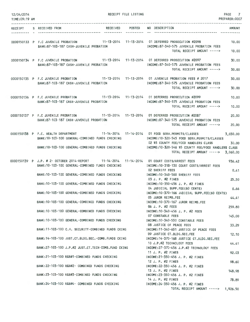| 12/04/2014<br>TIME: 09:19 AM | RECEIPT FILE LISTING                                                                        |                                                                                               | PAGE<br>$\overline{7}$<br>PREPARER:0007 |
|------------------------------|---------------------------------------------------------------------------------------------|-----------------------------------------------------------------------------------------------|-----------------------------------------|
|                              | RECEIVED POSTED                                                                             | NO DESCRIPTION                                                                                |                                         |
|                              | RECEIPT S RECEIVED FROM                                                                     |                                                                                               | <b>AMOUNT</b>                           |
|                              |                                                                                             |                                                                                               |                                         |
|                              | 0000150133 P F.C JUVENILE PROBATION 11-13-2014 11-13-2014 01 DEFERRED PROSECUTION #2098     |                                                                                               | 10.00                                   |
|                              | BANK:87-103-187 CASH-JUVENILE PROBATION                                                     | INCOME:87-340-575 JUVENILE PROBATION FEES                                                     |                                         |
|                              |                                                                                             | TOTAL RECEIPT AMOUNT ----->                                                                   | 10.00                                   |
|                              | 0000150134 P F.C JUVENILE PROBATION 11-13-2014 11-13-2014 01 DEFERRED PROSECUTION #2097     |                                                                                               | 30.00                                   |
|                              | BANK: 87-103-187 CASH-JUVENILE PROBATION                                                    | INCOME:87-340-575 JUVENILE PROBATION FEES                                                     |                                         |
|                              |                                                                                             | TOTAL RECEIPT AMOUNT ----->                                                                   | 30.00                                   |
|                              |                                                                                             |                                                                                               |                                         |
|                              | 0000150135 P F.C JUVENILE PROBATION 11-13-2014 11-13-2014 01 JUVENILE PROBATION FEES # 2017 |                                                                                               | 30.00                                   |
|                              | BANK:87-103-187 CASH-JUVENILE PROBATION                                                     | INCOME:87-340-575 JUVENILE PROBATION FEES<br>TOTAL RECEIPT AMOUNT ----->                      | 30,00                                   |
|                              |                                                                                             |                                                                                               |                                         |
|                              | 0000150136 P F.C JUVENILE PROBATION 11-13-2014 11-13-2014 01 DEFERRED PROSECUTION #2099     |                                                                                               | 10.00                                   |
|                              | BANK:87-103-187 CASH-JUVENILE PROBATION                                                     | INCOME:87-340-575 JUVENILE PROBATION FEES                                                     |                                         |
|                              |                                                                                             | TOTAL RECEIPT AMOUNT ----->                                                                   | 10,00                                   |
|                              | 0000150137 P F.C JUVENILE PROBATION 11-13-2014 11-13-2014 01 DEFERRED PROSECUTION #2087     |                                                                                               |                                         |
|                              | BANK: 87-103-187 CASH-JUVENILE PROBATION                                                    | INCOME:87-340-575 JUVENILE PROBATION FEES                                                     | 20,00                                   |
|                              |                                                                                             | TOTAL RECEIPT AMOUNT ----->                                                                   | 20,00                                   |
|                              |                                                                                             |                                                                                               |                                         |
|                              | 0000150138 P F.C. HEALTH DEPARTMENT                                                         | 11-14-2014  11-14-2014  01  FOOD SERV.PERMITS/CLASSES                                         | 3,030,00                                |
|                              | BANK: 10-103-100 GENERAL-COMBINED FUNDS CHECKING                                            | INCOME:10-320-545 FOOD SERV, PERMITS/CLASSES                                                  |                                         |
|                              | BANK:10-103-100 GENERAL-COMBINED FUNDS CHECKING                                             | 02 \$5 COUNTY FEE/FOOD HANDLERS CLASS<br>INCOME:10-320-546 \$5 COUNTY FEE/FOOD HANDLERS CLASS | 30.00                                   |
|                              |                                                                                             | TOTAL RECEIPT AMOUNT -----> 3,060.00                                                          |                                         |
|                              |                                                                                             |                                                                                               |                                         |
|                              | 0000150139 P J.P. # 2- OCTOBER 2014-REPORT 11-14-2014 11-14-2014 01 COURT COSTS/ARREST FEES |                                                                                               | 936.42                                  |
|                              | BANK: 10-103-100 GENERAL-COMBINED FUNDS CHECKING                                            | INCOME:10-318-130 COURT COSTS/ARREST FEES                                                     |                                         |
|                              | BANK: 10-103-100 GENERAL-COMBINED FUNDS CHECKING                                            | <b>02 SHERIFF FEES</b><br>INCOME: 10-340-560 SHERIFF FEES                                     | 0.41                                    |
|                              |                                                                                             | 03 J. P. #2 FINES                                                                             | 25.50                                   |
|                              | BANK: 10-103-100 GENERAL-COMBINED FUNDS CHECKING                                            | INCOME: 10-350-456 J. P. #2 FINES                                                             |                                         |
|                              |                                                                                             | 04 JUDICIAL SUPP.FEE(60 CENTS)                                                                | 6.66                                    |
|                              | BANK: 10-103-100 GENERAL-COMBINED FUNDS CHECKING                                            | INCOME: 10-370-166 JUDICIAL SUPP.FEE(60 CENTS)                                                |                                         |
|                              | BANK:10-103-100 GENERAL-COMBINED FUNDS CHECKING                                             | 05 JUROR REIMB.FEE<br>INCOME:10-370-167 JUROR REIMB.FEE                                       | 44.41                                   |
|                              |                                                                                             | 06 J. P. #2 FEES                                                                              | 259.80                                  |
|                              | BANK:10-103-100 GENERAL-COMBINED FUNDS CHECKING                                             | INCOME: 10-340-456 J. P. #2 FEES                                                              |                                         |
|                              |                                                                                             | 07 CONSTABLE FEES                                                                             | 145,00                                  |
|                              | BANK:10-103-100 GENERAL-COMBINED FUNDS CHECKING                                             | INCOME:10-340-550 CONSTABLE FEES                                                              |                                         |
|                              | BANK:11-103-100 C.H. SECURITY-COMBINED FUNDS CKING                                          | 08 JUSTICE OF PEACE FEES<br>INCOME:11-340-651 JUSTICE OF PEACE FEES                           | 33.29                                   |
|                              |                                                                                             | 09 JUSTICE CT.BLDG.SEC.FEE                                                                    | 12.10                                   |
|                              | BANK: 14-103-100 JUST.CT.BLDG.SEC.-COMB.FUNDS CKING                                         | INCOME: 14-370-168 JUSTICE CT.BLDG.SEC.FEE                                                    |                                         |
|                              |                                                                                             | 10 J.P.#2 TECHNOLOGY FEES                                                                     | 44.41                                   |
|                              | BANK:27-103-100 J.P.#2 JUST.CT.TECH-COMB.FUND CKING                                         | INCOME:27-370-456 J.P.#2 TECHNOLOGY FEES                                                      |                                         |
|                              |                                                                                             | 11 J. P. $#2$ FINES                                                                           | 92.03                                   |
|                              | BANK:21-103-100 R&B#1-COMBINED FUNDS CHECKING                                               | INCOME: 21-350-456 J. P. #2 FINES<br>12 J. P. #2 FINES                                        | 98.60                                   |
|                              | BANK:22-103-100 R&B#2- COMBINED FUNDS CHECKING                                              | INCOME: 22-350-456 J. P. #2 FINES                                                             |                                         |
|                              |                                                                                             | 13 J. P. $#2$ FINES                                                                           | 148.98                                  |
|                              | BANK:23-103-100 R&B#3-COMBINED FUNDS CHECKING                                               | INCOME:23-350-456 J. P. #2 FINES                                                              |                                         |
|                              | BANK: 24-103-100 R&B#4- COMBINED FUNDS CHECKING                                             | 14 J. P. $#2$ FINES<br>INCOME:24-350-456 J. P. #2 FINES                                       | 78.89                                   |
|                              |                                                                                             | TOTAL RECEIPT AMOUNT -----> 1,926.50                                                          |                                         |
|                              |                                                                                             |                                                                                               |                                         |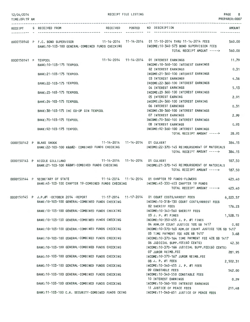| 12/04/2014<br>TIME:09:19 AM | RECEIPT FILE LISTING                                                                                                                          |            |                                                                                           | <b>PAGE</b><br>8<br>PREPARER: 0007 |
|-----------------------------|-----------------------------------------------------------------------------------------------------------------------------------------------|------------|-------------------------------------------------------------------------------------------|------------------------------------|
|                             | RECEIPT S RECEIVED FROM                                                                                                                       |            | RECEIVED POSTED NO DESCRIPTION                                                            | <b>AMOUNT</b>                      |
|                             |                                                                                                                                               | ---------- |                                                                                           |                                    |
|                             | 0000150140 P F.C. BOND SUPERVISOR 11-14-2014 11-14-2014 01 11-10-2014 THRU 11-14-2014 FEES<br>BANK:10-103-100 GENERAL-COMBINED FUNDS CHECKING |            | INCOME:10-340-573 BOND SUPERVISION FEES                                                   | 560,00                             |
|                             |                                                                                                                                               |            | TOTAL RECEIPT AMOUNT ----->                                                               | 560.00                             |
| 0000150141 P TEXPOOL        | BANK: 10-103-175 TEXPOOL                                                                                                                      |            | 11-14-2014  11-14-2014  01 INTEREST EARNINGS<br>INCOME: 10-360-100 INTEREST EARNINGS      | 11.79                              |
|                             | BANK: 21-103-175 TEXPOOL                                                                                                                      |            | <b>02 INTEREST EARNINGS</b><br>INCOME: 21-360-100 INTEREST EARNINGS                       | 0.31                               |
|                             | BANK: 22-103-175 TEXPOOL                                                                                                                      |            | 03 INTEREST EARNINGS<br>INCOME: 22-360-100 INTEREST EARNINGS                              | 4.56                               |
|                             | BANK: 23-103-175 TEXPOOL                                                                                                                      |            | 04 INTEREST EARNINGS<br>INCOME: 23-360-100 INTEREST EARNINGS                              | 5.13                               |
|                             | BANK: 24-103-175 TEXPOOL                                                                                                                      |            | 05 INTEREST EARNING<br>INCOME: 24-360-100 INTEREST EARNING                                | 2.91                               |
|                             | BANK: 38-103-175 IHC CO-OP GIN TEXPOOL                                                                                                        |            | <b>06 INTEREST EARNINGS</b><br>INCOME: 38-360-100 INTEREST EARNINGS                       | 0.31                               |
|                             |                                                                                                                                               |            | <b>07 INTEREST EARNINGS</b>                                                               | 2.99                               |
|                             | BANK: 70-103-175 TEXPOOL                                                                                                                      |            | INCOME: 70-360-100 INTEREST EARNINGS<br><b>08 INTEREST EARNINGS</b>                       | 0.93                               |
|                             | BANK: 92-103-175 TEXPOOL                                                                                                                      |            | INCOME: 92-360-100 INTEREST EARNINGS<br>TOTAL RECEIPT AMOUNT ----->                       | 28.93                              |
|                             | 11-14-2014  11-14-2014  01 CULVERT<br>0000150142 P BLAKE SHOOK                                                                                |            |                                                                                           | 384.15                             |
|                             | BANK:22-103-100 R&B#2- COMBINED FUNDS CHECKING                                                                                                |            | INCOME: 22-370-145 REIMBURSEMENT OF MATERIALS<br>TOTAL RECEIPT AMOUNT ----->              | 384.15                             |
|                             | 0000150143 P NICOLE GILLILAND 11-14-2014 11-14-2014 01 CULVERT<br>BANK:21-103-100 R&B#1-COMBINED FUNDS CHECKING                               |            | INCOME:21-370-145 REIMBURSEMENT OF MATERIALS                                              | 187.50                             |
|                             |                                                                                                                                               |            | TOTAL RECEIPT AMOUNT ----->                                                               | 187.50                             |
|                             | 0000150144 P SECRETARY OF STATE 11-14-2014 11-14-2014 01 CHAPTER 19 FUNDS-FLOWERS                                                             |            |                                                                                           | 423.40                             |
|                             | BANK:45-103-100 CHAPTER 19-COMBINED FUNDS CHECKING MODE:45-330-403 CHAPTER 19 FUNDS                                                           |            | TOTAL RECEIPT AMOUNT -----> 423.40                                                        |                                    |
|                             | 0000150145 P J.P.#1 -OCTOBER 2014 -REPORT 11-17-2014 11-17-2014 01 COURT COSTS/ARREST FEES<br>BANK:10-103-100 GENERAL-COMBINED FUNDS CHECKING |            | INCOME: 10-318-130 COURT COSTS/ARREST FEES                                                | 6,223.57                           |
|                             | BANK:10-103-100 GENERAL-COMBINED FUNDS CHECKING                                                                                               |            | <b>02 SHERIFF FEES</b><br>INCOME:10-340-560 SHERIFF FEES                                  | 176.23                             |
|                             | BANK: 10-103-100 GENERAL-COMBINED FUNDS CHECKING                                                                                              |            | 03 J. P. #1 FINES<br>INCOME:10-350-455 J. P. #1 FINES                                     | 1,528.15                           |
|                             | BANK:10-103-100 GENERAL-COMBINED FUNDS CHECKING                                                                                               |            | 04 ADM.OF COURT JUSTICE 10% SB 1417<br>INCOME:10-370-163 ADM.OF COURT JUSTICE 10% SB 1417 | 0.92                               |
|                             | BANK: 10-103-100 GENERAL-COMBINED FUNDS CHECKING                                                                                              |            | 05 TIME PAYMENT FEE 40% SB 1417<br>INCOME: 10-370-164 TIME PAYMENT FEE 40% SB 1417        | 3.68                               |
|                             | BANK: 10-103-100 GENERAL-COMBINED FUNDS CHECKING                                                                                              |            | 06 JUDICIAL SUPP.FEE(60 CENTS)<br>INCOME: 10-370-166 JUDICIAL SUPP FEE(60 CENTS)          | 42.30                              |
|                             |                                                                                                                                               |            | 07 JUROR REIMB.FEE                                                                        | 281.95                             |
|                             | BANK:10-103-100 GENERAL-COMBINED FUNDS CHECKING                                                                                               |            | INCOME:10-370-167 JUROR REIMB.FEE<br>08 J. P. #1 FEES                                     | 2,502.31                           |
|                             | BANK:10-103-100 GENERAL-COMBINED FUNDS CHECKING                                                                                               |            | INCOME: 10-340-455 J. P. #1 FEES<br>09 CONSTABLE FEES                                     | 542.00                             |
|                             | BANK:10-103-100 GENERAL-COMBINED FUNDS CHECKING                                                                                               |            | INCOME:10-340-550 CONSTABLE FEES<br>10 INTEREST EARNINGS                                  | 0.29                               |
|                             | BANK:10-103-100 GENERAL-COMBINED FUNDS CHECKING                                                                                               |            | INCOME: 10-360-100 INTEREST EARNINGS<br>11 JUSTICE OF PEACE FEES                          | 211,48                             |
|                             | BANK: 11-103-100 C.H. SECURITY-COMBINED FUNDS CKING                                                                                           |            | INCOME:11-340-651 JUSTICE OF PEACE FEES                                                   |                                    |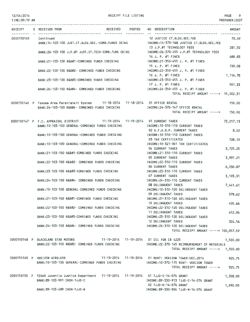#### 12/04/2014 TIME:09:19 AM

RECEIPT FILE LISTING

PAGE 9 PREPARER:0007

|            | RECEIPT S RECEIVED FROM                                                                                                                |  | RECEIVED POSTED NO DESCRIPTION                                                                  | <b>AMOUNT</b>    |
|------------|----------------------------------------------------------------------------------------------------------------------------------------|--|-------------------------------------------------------------------------------------------------|------------------|
| 0000150145 | Continued<br>BANK:14-103-100 JUST.CT.BLDG.SEC.-COMB.FUNDS CKING                                                                        |  | 12 JUSTICE CT.BLDG.SEC.FEE<br>INCOME:14-370-168 JUSTICE CT.BLDG.SEC.FEE                         | 70.49            |
|            | BANK: 26-103-100 J.P.#1 JUST.CT. TECH-COMB. FUND CKING                                                                                 |  | 13 J.P.#1 TECHNOLOGY FEES<br>INCOME:26-370-455 J.P.#1 TECHNOLOGY FEES                           | 281.92           |
|            | BANK:21-103-100 R&B#1-COMBINED FUNDS CHECKING                                                                                          |  | 14 J. P. #1 FINES<br>INCOME:21-350-455 J. P. #1 FINES                                           | 689.83           |
|            | BANK:22-103-100 R&B#2- COMBINED FUNDS CHECKING                                                                                         |  | 15 J. P. $#1$ FINES<br>INCOME:22-350-455 J. P. #1 FINES                                         | 739.08           |
|            | BANK:23-103-100 R&B#3-COMBINED FUNDS CHECKING                                                                                          |  | 16 J. P. $\#$ 1 FINES<br>INCOME:23-350-455 J. P. #1 FINES                                       | 1,116.78         |
|            | BANK: 24-103-100 R&B#4- COMBINED FUNDS CHECKING                                                                                        |  | 17 J. P. #1 FINES<br>INCOME: 24-350-455 J. P. #1 FINES<br>TOTAL RECEIPT AMOUNT -----> 15,002.31 | 591.33           |
|            |                                                                                                                                        |  |                                                                                                 |                  |
|            | 0000150146 P Texoma Area Paratransit System 11-18-2014 11-18-2014 01 OFFICE RENTAL<br>BANK:24-103-100 R&B#4- COMBINED FUNDS CHECKING   |  | INCOME: 24-370-147 OFFICE RENTAL<br>TOTAL RECEIPT AMOUNT ----->                                 | 150.00<br>150.00 |
|            | 0000150147 P F.C. APPRAISAL DISTRICT 11-19-2014 11-19-2014 01 CURRENT TAXES                                                            |  |                                                                                                 | 73,217.13        |
|            | BANK: 10-103-100 GENERAL-COMBINED FUNDS CHECKING                                                                                       |  | INCOME: 10-310-110 CURRENT TAXES<br>02 G.F.A.B.P. CURRENT TAXES                                 | 8.22             |
|            | BANK: 10-103-100 GENERAL-COMBINED FUNDS CHECKING                                                                                       |  | INCOME: 10-310-110 CURRENT TAXES<br>03 TAX CERTIFICATES                                         | 728.19           |
|            | BANK: 10-103-100 GENERAL-COMBINED FUNDS CHECKING                                                                                       |  | INCOME: 10-321-901 TAX CERTIFICATES<br>04 CURRENT TAXES                                         | 3,725.25         |
|            | BANK:21-103-100 R&B#1-COMBINED FUNDS CHECKING                                                                                          |  | INCOME: 21-310-110 CURRENT TAXES                                                                |                  |
|            | BANK:22-103-100 R&B#2- COMBINED FUNDS CHECKING                                                                                         |  | <b>05 CURRENT TAXES</b><br>INCOME: 22-310-110 CURRENT TAXES                                     | 3,991.21         |
|            | BANK: 23-103-100 R&B#3-COMBINED FUNDS CHECKING                                                                                         |  | <b>06 CURRENT TAXES</b><br>INCOME: 23-310-110 CURRENT TAXES                                     | 6,030.87         |
|            | BANK:24-103-100 R&B#4- COMBINED FUNDS CHECKING                                                                                         |  | 07 CURRENT TAXES<br>INCOME: 24-310-110 CURRENT TAXES                                            | 3, 193.31        |
|            | BANK: 10-103-100 GENERAL-COMBINED FUNDS CHECKING                                                                                       |  | 08 DELINQUENT TAXES<br>INCOME:10-310-120 DELINQUENT TAXES                                       | 7,441.61         |
|            | BANK: 21-103-100 R&B#1-COMBINED FUNDS CHECKING                                                                                         |  | 09 DELINQUENT TAXES<br>INCOME: 21-310-120 DELINQUENT TAXES                                      | 378.62           |
|            | BANK:22-103-100 R&B#2- COMBINED FUNDS CHECKING                                                                                         |  | 10 DELINQUENT TAXES<br>INCOME:22-310-120 DELINQUENT TAXES                                       | 405.66           |
|            | BANK:23-103-100 R&B#3-COMBINED FUNDS CHECKING                                                                                          |  | 11 DELINQUENT TAXES<br>INCOME: 23-310-120 DELINQUENT TAXES                                      | 612.96           |
|            | BANK:24-103-100 R&B#4- COMBINED FUNDS CHECKING                                                                                         |  | 12 DELINQUENT TAXES<br>INCOME: 24-310-120 DELINQUENT TAXES                                      | 324.56           |
|            |                                                                                                                                        |  | TOTAL RECEIPT AMOUNT -----> 100,057,59                                                          |                  |
|            | 0000150148 P BLACKLAND STAR MOTORS 11-19-2014 11-19-2014 01 OIL FOR CR 4225<br>BANK:22-103-100 R&B#2- COMBINED FUNDS CHECKING          |  | INCOME: 22-370-145 REIMBURSEMENT OF MATERIALS                                                   | 1,500.00         |
|            |                                                                                                                                        |  | TOTAL RECEIPT AMOUNT -----> 1,500.00                                                            |                  |
|            | 0000150149 P VERIZON WIRELESS 11-19-2014 11-19-2014 01 RENT- VERIZON TOWER-DEC.2014<br>BANK:10-103-100 GENERAL-COMBINED FUNDS CHECKING |  |                                                                                                 | 925.75           |
|            |                                                                                                                                        |  | INCOME:10-370-115 RENT- VERIZON TOWER<br>TOTAL RECEIPT AMOUNT ----->                            | 925,75           |
|            | 0000150150 P TEXAS Juvenile Justice Department 11-19-2014 11-19-2014 01 TJJD-C-14-074 GRANT<br>BANK: 89-103-991 CASH-TJJD-C            |  | INCOME:89-330-913 TJJD-C-14-074 GRANT                                                           | 1,308.00         |
|            | BANK: 89-103-489 CASH-TJJD-N                                                                                                           |  | 02 TJJD-N-14-074 GRANT<br>INCOME: 89-330-906 TJJD-N-14-074 GRANT                                | 1,692.00         |

 $\sim 10^{-11}$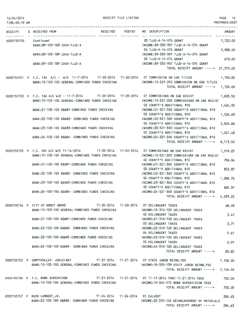| TIME:09:19 AM |                                                                                                                                                  |                                                                                                          | PREPARER: 0007       |
|---------------|--------------------------------------------------------------------------------------------------------------------------------------------------|----------------------------------------------------------------------------------------------------------|----------------------|
|               | RECEIPT S RECEIVED FROM                                                                                                                          | RECEIVED POSTED NO DESCRIPTION<br>--------------------------------------                                 | <b>AMOUNT</b>        |
|               | 0000150150 Continued<br>BANK:89-103-189 CASH-TJJD-A                                                                                              | 03 TJJD-A-14-074 GRANT<br>INCOME:89-330-901 TJJD-A-14-074 GRANT                                          | 7,722.00             |
|               | BANK: 89-103-189 CASH-TJJD-A                                                                                                                     | 04 TJJD-A-14-074 GRANT<br>INCOME:89-330-901 TJJD-A-14-074 GRANT                                          | 9.983.00             |
|               | BANK: 89-103-189 CASH-TJJD-A                                                                                                                     | 05 TJJD-A-14-074 GRANT<br>INCOME:89-330-901 TJJD-A-14-074 GRANT                                          | 670,00               |
|               |                                                                                                                                                  | TOTAL RECEIPT AMOUNT -----> 21,375.00                                                                    |                      |
|               | 0000150151 P F.C. TAX A/C - W/E 11-7-2014 11-20-2014 11-20-2014 01 COMMISSION ON CAR TITLES<br>BANK: 10-103-100 GENERAL-COMBINED FUNDS CHECKING  | INCOME: 10-321-250 COMMISSION ON CAR TITLES                                                              | 1,130.00             |
|               |                                                                                                                                                  | TOTAL RECEIPT AMOUNT -----> 1,130.00                                                                     |                      |
|               | 0000150152 P F.C. TAX A/C W/E - 11-7-2014 11-20-2014 11-20-2014 01 COMMISSIONS ON CAR REGIST<br>BANK: 10-103-100 GENERAL-COMBINED FUNDS CHECKING | INCOME: 10-321-200 COMMISSIONS ON CAR REGIST                                                             | 1,633.50             |
|               | BANK:21-103-100 R&B#1-COMBINED FUNDS CHECKING                                                                                                    | 02 COUNTY'S ADDITIONAL \$10<br>INCOME:21-321-300 COUNTY'S ADDITIONAL \$10                                | 1,424.95             |
|               | BANK:22-103-100 R&B#2- COMBINED FUNDS CHECKING                                                                                                   | 03 COUNTY'S ADDITIONAL \$10<br>INCOME: 22-321-300 COUNTY'S ADDITIONAL \$10                               | 1,526.69             |
|               | BANK:23-103-100 R&B#3-COMBINED FUNDS CHECKING                                                                                                    | 04 COUNTY'S ADDITIONAL \$10<br>INCOME: 23-321-300 COUNTY'S ADDITIONAL \$10                               | 2,306.88             |
|               | BANK:24-103-100 R&B#4- COMBINED FUNDS CHECKING                                                                                                   | 05 COUNTY'S ADDITIONAL \$10<br>INCOME:24-321-300 COUNTY'S ADDITIONAL \$10<br>TOTAL RECEIPT AMOUNT -----> | 1,221.48             |
|               | 0000150153 P F.C. TAX A/C W/E 11-14-2014 11-20-2014 11-20-2014 01 COMMISSIONS ON CAR REGIST                                                      |                                                                                                          | 8,113.50<br>1,019.25 |
|               | BANK: 10-103-100 GENERAL-COMBINED FUNDS CHECKING                                                                                                 | INCOME:10-321-200 COMMISSIONS ON CAR REGIST<br>02 COUNTY'S ADDITIONAL \$10                               | 796.04               |
|               | BANK:21-103-100 R&B#1-COMBINED FUNDS CHECKING                                                                                                    | INCOME:21-321-300 COUNTY'S ADDITIONAL \$10<br>03 COUNTY'S ADDITIONAL \$10                                | 852.87               |
|               | BANK:22-103-100 R&B#2- COMBINED FUNDS CHECKING                                                                                                   | INCOME:22-321-300 COUNTY'S ADDITIONAL \$10<br>04 COUNTY'S ADDITIONAL \$10                                | 1,288.72             |
|               | BANK:23-103-100 R&B#3-COMBINED FUNDS CHECKING                                                                                                    | INCOME:23-321-300 COUNTY'S ADDITIONAL \$10<br>05 COUNTY'S ADDITIONAL \$10                                | 682.37               |
|               | BANK:24-103-100 R&B#4- COMBINED FUNDS CHECKING                                                                                                   | INCOME: 24-321-300 COUNTY'S ADDITIONAL \$10<br>TOTAL RECEIPT AMOUNT -----> 4,639.25                      |                      |
|               | 0000150154 P CITY OF HONEY GROVE<br>BANK:10-103-100 GENERAL-COMBINED FUNDS CHECKING                                                              | INCOME:10-310-120 DELINQUENT TAXES                                                                       | 68.09                |
|               | BANK:21-103-100 R&B#1-COMBINED FUNDS CHECKING                                                                                                    | <b>02 DELINQUENT TAXES</b><br>INCOME:21-310-120 DELINQUENT TAXES                                         | 3.47                 |
|               | BANK:22-103-100 R&B#2- COMBINED FUNDS CHECKING                                                                                                   | 03 DELINQUENT TAXES<br>INCOME:22-310-120 DELINQUENT TAXES                                                | 3.71                 |
|               | BANK:23-103-100 R&B#3-COMBINED FUNDS CHECKING                                                                                                    | 04 DELINQUENT TAXES<br>INCOME:23-310-120 DELINQUENT TAXES                                                | 5.61                 |
|               | BANK: 24-103-100 R&B#4- COMBINED FUNDS CHECKING                                                                                                  | <b>05 DELINQUENT TAXES</b><br>INCOME: 24-310-120 DELINQUENT TAXES                                        | 2.97                 |
|               |                                                                                                                                                  | TOTAL RECEIPT AMOUNT ----->                                                                              | 83.85                |
|               | 0000150155 P COMPTROLLER- JUDICIARY 11-21-2014 11-21-2014 01 STATE JUROR REIMB.FEE<br>BANK:10-103-100 GENERAL-COMBINED FUNDS CHECKING            | INCOME:10-370-139 STATE JUROR REIMB.FEE                                                                  | 7,106.00             |
|               |                                                                                                                                                  | TOTAL RECEIPT AMOUNT ----->                                                                              | 7,106.00             |
|               | 0000150156 P F.C. BOND SUPERVISOR 11-21-2014 11-21-2014 01 11-17-2014 THRU 11-21-2014 FEES<br>BANK: 10-103-100 GENERAL-COMBINED FUNDS CHECKING   | INCOME:10-340-573 BOND SUPERVISION FEES                                                                  | 730,00               |
|               |                                                                                                                                                  | TOTAL RECEIPT AMOUNT ----->                                                                              | 730,00               |
|               | 11-24-2014 11-24-2014 01 CULVERT<br>0000150157 P RUSS LAMBERT, JR.<br>BANK:22-103-100 R&B#2- COMBINED FUNDS CHECKING                             | INCOME: 22-370-145 REIMBURSEMENT OF MATERIALS                                                            | 284.63               |

TOTAL RECEIPT AMOUNT ·····> 284.63

PAGE 10

RECEIPT FILE LISTING

12/04/2014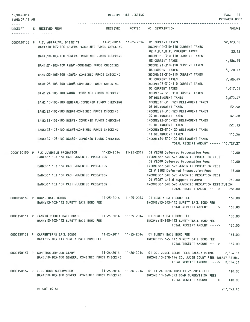| 12/04/2014     |  | RECEIPT FILE LISTING                    |                                                  |                 |  |                                                                                                                                                        | PAGE 11        |
|----------------|--|-----------------------------------------|--------------------------------------------------|-----------------|--|--------------------------------------------------------------------------------------------------------------------------------------------------------|----------------|
| TIME: 09:19 AM |  |                                         |                                                  |                 |  |                                                                                                                                                        | PREPARER: 0007 |
|                |  | RECEIPT S RECEIVED FROM                 |                                                  | RECEIVED POSTED |  | NO DESCRIPTION                                                                                                                                         | AMOUNT         |
|                |  |                                         |                                                  |                 |  | ------------------------                                                                                                                               |                |
|                |  |                                         |                                                  |                 |  | 0000150158 P F.C. APPRAISAL DISTRICT 11-25-2014 11-25-2014 01 CURRENT TAXES                                                                            | 92,103.05      |
|                |  |                                         | BANK: 10-103-100 GENERAL-COMBINED FUNDS CHECKING |                 |  | INCOME:10-310-110 CURRENT TAXES                                                                                                                        |                |
|                |  |                                         |                                                  |                 |  | 02 G.F.A.B.P. CURRENT TAXES                                                                                                                            | 23.12          |
|                |  |                                         | BANK:10-103-100 GENERAL-COMBINED FUNDS CHECKING  |                 |  | INCOME: 10-310-110 CURRENT TAXES                                                                                                                       |                |
|                |  |                                         |                                                  |                 |  | 03 CURRENT TAXES                                                                                                                                       | 4,686.15       |
|                |  |                                         | BANK:21-103-100 R&B#1-COMBINED FUNDS CHECKING    |                 |  | INCOME:21-310-110 CURRENT TAXES<br>04 CURRENT TAXES                                                                                                    | 5,020.73       |
|                |  |                                         | BANK:22-103-100 R&B#2- COMBINED FUNDS CHECKING   |                 |  | INCOME: 22-310-110 CURRENT TAXES                                                                                                                       |                |
|                |  |                                         |                                                  |                 |  | <b>05 CURRENT TAXES</b>                                                                                                                                | 7,586.49       |
|                |  |                                         | BANK:23-103-100 R&B#3-COMBINED FUNDS CHECKING    |                 |  | INCOME:23-310-110 CURRENT TAXES                                                                                                                        |                |
|                |  |                                         |                                                  |                 |  | 06 CURRENT TAXES                                                                                                                                       | 4,017.01       |
|                |  |                                         | BANK: 24-103-100 R&B#4- COMBINED FUNDS CHECKING  |                 |  | INCOME: 24-310-110 CURRENT TAXES                                                                                                                       |                |
|                |  |                                         |                                                  |                 |  | 07 DELINQUENT TAXES                                                                                                                                    | 2,672.47       |
|                |  |                                         | BANK: 10-103-100 GENERAL-COMBINED FUNDS CHECKING |                 |  | INCOME: 10-310-120 DELINQUENT TAXES                                                                                                                    |                |
|                |  |                                         |                                                  |                 |  | 08 DELINQUENT TAXES                                                                                                                                    | 135.98         |
|                |  |                                         | BANK: 21-103-100 R&B#1-COMBINED FUNDS CHECKING   |                 |  | INCOME: 21-310-120 DELINQUENT TAXES                                                                                                                    |                |
|                |  |                                         |                                                  |                 |  | 09 DELINQUENT TAXES                                                                                                                                    | 145.68         |
|                |  |                                         | BANK:22-103-100 R&B#2- COMBINED FUNDS CHECKING   |                 |  | INCOME: 22-310-120 DELINQUENT TAXES<br>10 DELINQUENT TAXES                                                                                             |                |
|                |  |                                         | BANK: 23-103-100 R&B#3-COMBINED FUNDS CHECKING   |                 |  | INCOME: 23-310-120 DELINQUENT TAXES                                                                                                                    | 220.13         |
|                |  |                                         |                                                  |                 |  | 11 DELINQUENT TAXES                                                                                                                                    | 116.56         |
|                |  |                                         | BANK:24-103-100 R&B#4- COMBINED FUNDS CHECKING   |                 |  | INCOME: 24-310-120 DELINQUENT TAXES                                                                                                                    |                |
|                |  |                                         |                                                  |                 |  | TOTAL RECEIPT AMOUNT -----> 116,727.37                                                                                                                 |                |
|                |  |                                         |                                                  |                 |  |                                                                                                                                                        |                |
|                |  |                                         | 0000150159 P F.C JUVENILE PROBATION              |                 |  | 11-25-2014  11-25-2014  01 #2098 Deferred Prosecution Fees                                                                                             | 10.00          |
|                |  | BANK:87-103-187 CASH-JUVENILE PROBATION |                                                  |                 |  | INCOME:87-340-575 JUVENILE PROBATION FEES                                                                                                              |                |
|                |  |                                         |                                                  |                 |  | 02 #2099 Deferred Prosecution Fees                                                                                                                     | 10,00          |
|                |  |                                         | BANK:87-103-187 CASH-JUVENILE PROBATION          |                 |  | INCOME:87-340-575 JUVENILE PROBATION FEES                                                                                                              |                |
|                |  |                                         | BANK: 87-103-187 CASH-JUVENILE PROBATION         |                 |  | 03 # 2103 Deferred Prosecution Fees<br>INCOME:87-340-575 JUVENILE PROBATION FEES                                                                       | 15.00          |
|                |  |                                         |                                                  |                 |  | 04 #2067 Child Support Payment                                                                                                                         | 750.00         |
|                |  | BANK:87-103-187 CASH-JUVENILE PROBATION |                                                  |                 |  | INCOME:87-340-576 JUVENILE PROBATION RESTITUTION                                                                                                       |                |
|                |  |                                         |                                                  |                 |  | TOTAL RECEIPT AMOUNT ----->                                                                                                                            | 785.00         |
|                |  |                                         |                                                  |                 |  |                                                                                                                                                        |                |
|                |  | 0000150160 P DOC'S BAIL BONDS           |                                                  |                 |  | 11-25-2014    11-25-2014    01 SURETY BAIL BOND FEE                                                                                                    | 165.00         |
|                |  |                                         | BANK: 13-103-113 SURETY BAIL BOND FEE            |                 |  | INCOME:13-345-113 SURETY BAIL BOND FEE                                                                                                                 |                |
|                |  |                                         |                                                  |                 |  | TOTAL RECEIPT AMOUNT ----->                                                                                                                            | 165.00         |
|                |  |                                         |                                                  |                 |  | 0000150161 P FANNIN COUNTY BAIL BONDS 11-25-2014 11-25-2014 01 SURETY BAIL BOND FEE                                                                    | 180,00         |
|                |  |                                         | BANK: 13-103-113 SURETY BAIL BOND FEE            |                 |  | INCOME: 13-345-113 SURETY BAIL BOND FEE                                                                                                                |                |
|                |  |                                         |                                                  |                 |  | TOTAL RECEIPT AMOUNT ----->                                                                                                                            | 180,00         |
|                |  |                                         |                                                  |                 |  |                                                                                                                                                        |                |
|                |  |                                         |                                                  |                 |  | 0000150162 P CARPENTER'S BAIL BONDS 11-25-2014 11-25-2014 01 SURETY BAIL BOND FEE                                                                      | 165.00         |
|                |  |                                         | BANK: 13-103-113 SURETY BAIL BOND FEE            |                 |  | INCOME:13-345-113 SURETY BAIL BOND FEE                                                                                                                 |                |
|                |  |                                         |                                                  |                 |  | TOTAL RECEIPT AMOUNT -----> 165.00                                                                                                                     |                |
|                |  |                                         |                                                  |                 |  |                                                                                                                                                        |                |
|                |  |                                         | BANK:10-103-100 GENERAL-COMBINED FUNDS CHECKING  |                 |  | 0000150163 P COMPTROLLER-JUDICIARY 11-26-2014 11-26-2014 01 CO, JUDGE COURT FEES SALARY REIMB.<br>INCOME:10-370-144 CO. JUDGE COURT FEES SALARY REIMB. | 2,554.51       |
|                |  |                                         |                                                  |                 |  | TOTAL RECEIPT AMOUNT -----> 2,554.51                                                                                                                   |                |
|                |  |                                         |                                                  |                 |  |                                                                                                                                                        |                |
|                |  | 0000150164 P F.C. BOND SUPERVISOR       |                                                  |                 |  | 11-26-2014  11-26-2014  01 11-24-2014  THRU 11-26-2014  FEES  410.00                                                                                   |                |
|                |  |                                         |                                                  |                 |  | BANK:10-103-100 GENERAL-COMBINED FUNDS CHECKING MANUSIC RESIDENCIAL STATE SOND SUPERVISION FEES                                                        |                |
|                |  |                                         |                                                  |                 |  | TOTAL RECEIPT AMOUNT -----> 410.00                                                                                                                     |                |

REPORT TOTAL

 $\mathcal{A}^{\text{max}}$ 

707,193.43